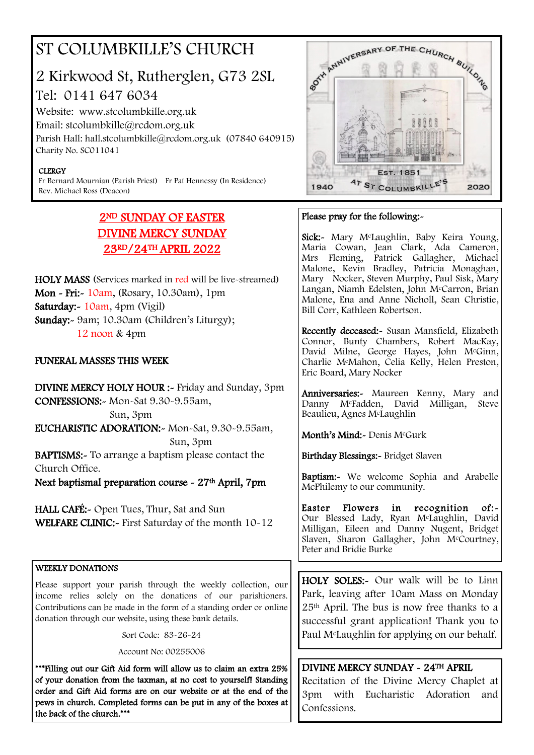## ST COLUMBKILLE'S CHURCH

## 2 Kirkwood St, Rutherglen, G73 2SL Tel: 0141 647 6034

Website: www.stcolumbkille.org.uk Email: stcolumbkille@rcdom.org.uk Parish Hall: hall.stcolumbkille@rcdom.org.uk (07840 640915) Charity No. SC011041

#### **CLERGY**

Fr Bernard Mournian (Parish Priest) Fr Pat Hennessy (In Residence) Rev. Michael Ross (Deacon)

### 2ND SUNDAY OF EASTER DIVINE MERCY SUNDAY 23RD/24TH APRIL 2022

HOLY MASS (Services marked in red will be live-streamed) Mon - Fri:- 10am, (Rosary, 10.30am), 1pm Saturday:- 10am, 4pm (Vigil) Sunday:- 9am; 10.30am (Children's Liturgy); 12 noon & 4pm

#### FUNERAL MASSES THIS WEEK

DIVINE MERCY HOLY HOUR :- Friday and Sunday, 3pm CONFESSIONS:- Mon-Sat 9.30-9.55am, Sun, 3pm EUCHARISTIC ADORATION:- Mon-Sat, 9.30-9.55am, Sun, 3pm BAPTISMS:- To arrange a baptism please contact the Church Office.

Next baptismal preparation course - 27th April, 7pm

HALL CAFÉ:- Open Tues, Thur, Sat and Sun WELFARE CLINIC:- First Saturday of the month 10-12

#### WEEKLY DONATIONS

Please support your parish through the weekly collection, our income relies solely on the donations of our parishioners. Contributions can be made in the form of a standing order or online donation through our website, using these bank details.

Sort Code: 83-26-24

Account No: 00255006

\*\*\*Filling out our Gift Aid form will allow us to claim an extra 25% of your donation from the taxman, at no cost to yourself! Standing order and Gift Aid forms are on our website or at the end of the pews in church. Completed forms can be put in any of the boxes at the back of the church.\*\*\*



#### Please pray for the following:-

Sick:- Mary McLaughlin, Baby Keira Young, Maria Cowan, Jean Clark, Ada Cameron, Mrs Fleming, Patrick Gallagher, Michael Malone, Kevin Bradley, Patricia Monaghan, Mary Nocker, Steven Murphy, Paul Sisk, Mary Langan, Niamh Edelsten, John McCarron, Brian Malone, Ena and Anne Nicholl, Sean Christie, Bill Corr, Kathleen Robertson.

Recently deceased:- Susan Mansfield, Elizabeth Connor, Bunty Chambers, Robert MacKay, David Milne, George Hayes, John McGinn, Charlie McMahon, Celia Kelly, Helen Preston, Eric Board, Mary Nocker

Anniversaries:- Maureen Kenny, Mary and Danny McFadden, David Milligan, Steve Beaulieu, Agnes McLaughlin

Month's Mind:- Denis McGurk

Birthday Blessings:- Bridget Slaven

Baptism:- We welcome Sophia and Arabelle McPhilemy to our community.

Easter Flowers in recognition of:-Our Blessed Lady, Ryan McLaughlin, David Milligan, Eileen and Danny Nugent, Bridget Slaven, Sharon Gallagher, John McCourtney, Peter and Bridie Burke

HOLY SOLES:- Our walk will be to Linn Park, leaving after 10am Mass on Monday 25th April. The bus is now free thanks to a successful grant application! Thank you to Paul McLaughlin for applying on our behalf.

#### DIVINE MERCY SUNDAY - 24TH APRIL

Recitation of the Divine Mercy Chaplet at 3pm with Eucharistic Adoration and Confessions.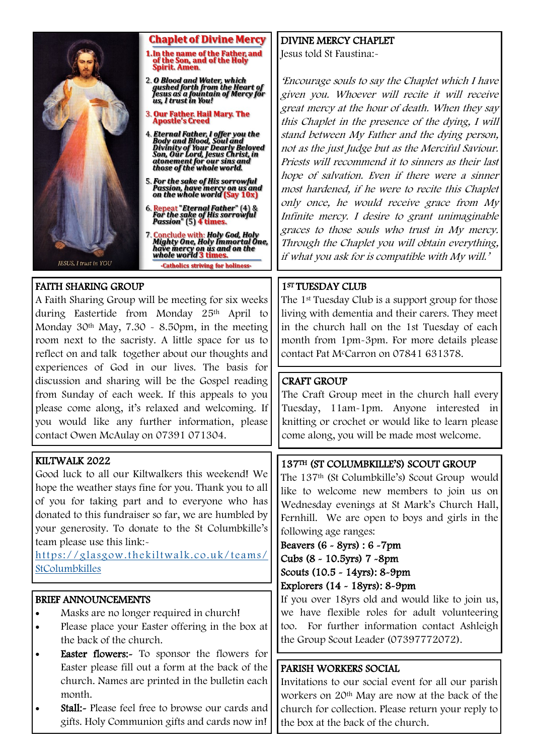

#### **Chaplet of Divine Mercy**

- 1. In the name of the Father, and<br>of the Son, and of the Holy<br>Spirit. Amen.
- 2. O Blood and Water, which<br>gushed forth from the Heart of<br>Jesus as a fountain of Mercy for<br>us, I trust in You!
- **3. Our Father. Hail Mary. The Apostle's Creed**
- 4. Eternal Father, I offer you the<br>Body and Blood, Soul and<br>Divinity of Your Dearly Beloved<br>Son, Our Lord, Jesus Christ, in<br>atonement for our sins and<br>those of the whole world.
- 5. For the sake of His sorrowful Passion, have mercy on us and<br>on the whole world (Say 10x)
- 6. Repeat "Eternal Father" (4) &<br>For the sake of His sorrowful<br>Passion" (5) **4 times.**
- 7. Conclude with: Holy God, Holy<br>Mighty One, Holy Immortal One,<br>have mercy on us and on the<br>whole world 3 times. -Catholics striving for holiness

#### FAITH SHARING GROUP

A Faith Sharing Group will be meeting for six weeks during Eastertide from Monday 25th April to Monday  $30<sup>th</sup>$  May,  $7.30 \sim 8.50$  pm, in the meeting room next to the sacristy. A little space for us to reflect on and talk together about our thoughts and experiences of God in our lives. The basis for discussion and sharing will be the Gospel reading from Sunday of each week. If this appeals to you please come along, it's relaxed and welcoming. If you would like any further information, please contact Owen McAulay on 07391 071304.

#### KILTWALK 2022

Good luck to all our Kiltwalkers this weekend! We hope the weather stays fine for you. Thank you to all of you for taking part and to everyone who has donated to this fundraiser so far, we are humbled by your generosity. To donate to the St Columbkille's team please use this link:-

[https://glasgow.thekiltwalk.co.uk/teams/](https://glasgow.thekiltwalk.co.uk/teams/StColumbkilles) **[StColumbkilles](https://glasgow.thekiltwalk.co.uk/teams/StColumbkilles)** 

#### BRIEF ANNOUNCEMENTS

- Masks are no longer required in church!
- Please place your Easter offering in the box at the back of the church.
- Easter flowers:- To sponsor the flowers for Easter please fill out a form at the back of the church. Names are printed in the bulletin each month.
- **Stall:** Please feel free to browse our cards and gifts. Holy Communion gifts and cards now in!

#### DIVINE MERCY CHAPLET

Jesus told St Faustina:-

'Encourage souls to say the Chaplet which I have given you. Whoever will recite it will receive great mercy at the hour of death. When they say this Chaplet in the presence of the dying, I will stand between My Father and the dying person, not as the just Judge but as the Merciful Saviour. Priests will recommend it to sinners as their last hope of salvation. Even if there were a sinner most hardened, if he were to recite this Chaplet only once, he would receive grace from My Infinite mercy. I desire to grant unimaginable graces to those souls who trust in My mercy. Through the Chaplet you will obtain everything, if what you ask for is compatible with My will.'

#### 1ST TUESDAY CLUB

The 1st Tuesday Club is a support group for those living with dementia and their carers. They meet in the church hall on the 1st Tuesday of each month from 1pm-3pm. For more details please contact Pat McCarron on 07841 631378.

#### CRAFT GROUP

The Craft Group meet in the church hall every Tuesday, 11am-1pm. Anyone interested in knitting or crochet or would like to learn please come along, you will be made most welcome.

#### 137TH (ST COLUMBKILLE'S) SCOUT GROUP

The 137th (St Columbkille's) Scout Group would like to welcome new members to join us on Wednesday evenings at St Mark's Church Hall, Fernhill. We are open to boys and girls in the following age ranges:

#### Beavers (6 - 8yrs) : 6 -7pm Cubs (8 - 10.5yrs) 7 -8pm Scouts (10.5 - 14yrs): 8-9pm Explorers (14 - 18yrs): 8-9pm

If you over 18yrs old and would like to join us, we have flexible roles for adult volunteering too. For further information contact Ashleigh the Group Scout Leader (07397772072).

#### PARISH WORKERS SOCIAL

Invitations to our social event for all our parish workers on 20th May are now at the back of the church for collection. Please return your reply to the box at the back of the church.